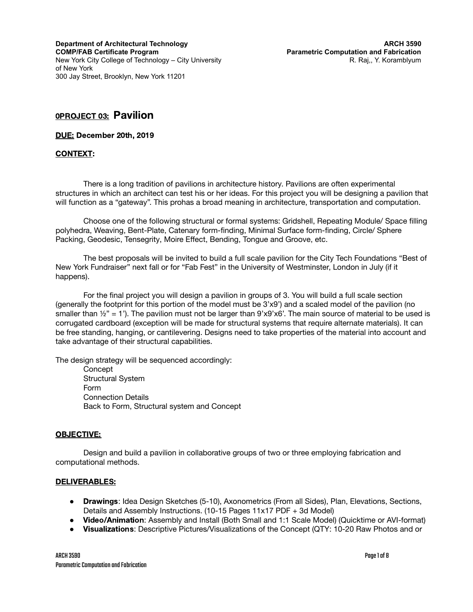# 0PROJECT 03: Pavilion

DUE: December 20th, 2019

### CONTEXT:

There is a long tradition of pavilions in architecture history. Pavilions are often experimental structures in which an architect can test his or her ideas. For this project you will be designing a pavilion that will function as a "gateway". This prohas a broad meaning in architecture, transportation and computation.

Choose one of the following structural or formal systems: Gridshell, Repeating Module/ Space filling polyhedra, Weaving, Bent-Plate, Catenary form-finding, Minimal Surface form-finding, Circle/ Sphere Packing, Geodesic, Tensegrity, Moire Effect, Bending, Tongue and Groove, etc.

The best proposals will be invited to build a full scale pavilion for the City Tech Foundations "Best of New York Fundraiser" next fall or for "Fab Fest" in the University of Westminster, London in July (if it happens).

For the final project you will design a pavilion in groups of 3. You will build a full scale section (generally the footprint for this portion of the model must be 3'x9') and a scaled model of the pavilion (no smaller than  $\frac{1}{2}$ " = 1'). The pavilion must not be larger than 9'x9'x6'. The main source of material to be used is corrugated cardboard (exception will be made for structural systems that require alternate materials). It can be free standing, hanging, or cantilevering. Designs need to take properties of the material into account and take advantage of their structural capabilities.

The design strategy will be sequenced accordingly:

Concept Structural System Form Connection Details Back to Form, Structural system and Concept

### OBJECTIVE:

Design and build a pavilion in collaborative groups of two or three employing fabrication and computational methods.

### DELIVERABLES:

- Drawings: Idea Design Sketches (5-10), Axonometrics (From all Sides), Plan, Elevations, Sections, Details and Assembly Instructions. (10-15 Pages 11x17 PDF + 3d Model)
- Video/Animation: Assembly and Install (Both Small and 1:1 Scale Model) (Quicktime or AVI-format)
- Visualizations: Descriptive Pictures/Visualizations of the Concept (QTY: 10-20 Raw Photos and or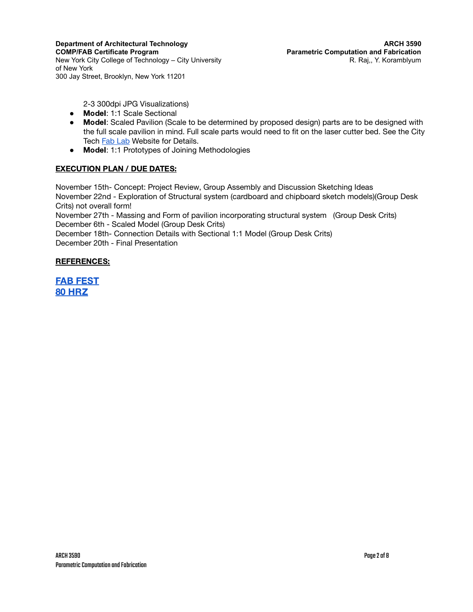2-3 300dpi JPG Visualizations)

- Model: 1:1 Scale Sectional
- Model: Scaled Pavilion (Scale to be determined by proposed design) parts are to be designed with the full scale pavilion in mind. Full scale parts would need to fit on the laser cutter bed. See the City Tech Fab [Lab](http://www.nycctfab.com/equipmentlaser-cutting) Website for Details.
- **Model: 1:1 Prototypes of Joining Methodologies**

## EXECUTION PLAN / DUE DATES:

November 15th- Concept: Project Review, Group Assembly and Discussion Sketching Ideas November 22nd - Exploration of Structural system (cardboard and chipboard sketch models)(Group Desk Crits) not overall form!

November 27th - Massing and Form of pavilion incorporating structural system (Group Desk Crits) December 6th - Scaled Model (Group Desk Crits)

December 18th- Connection Details with Sectional 1:1 Model (Group Desk Crits) December 20th - Final Presentation

### REFERENCES:

FAB [FEST](http://fabfest.london/fabfest-home-2018/) 80 [HRZ](https://www.archdaily.com/904297/80hz-thomas-wing-evans)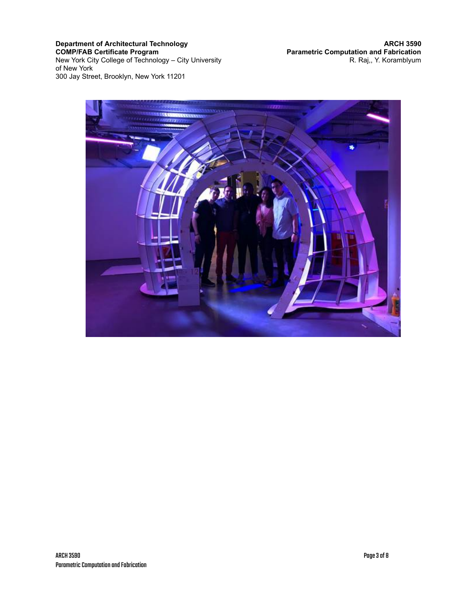**Department of Architectural Technology COMP/FAB Certificate Program**  New York City College of Technology – City University of New York

300 Jay Street, Brooklyn, New York 11201

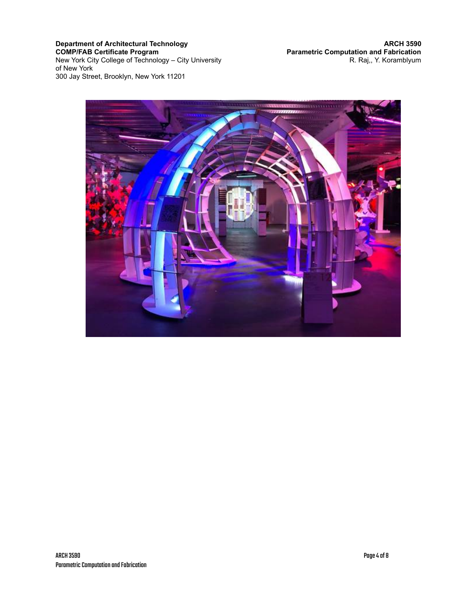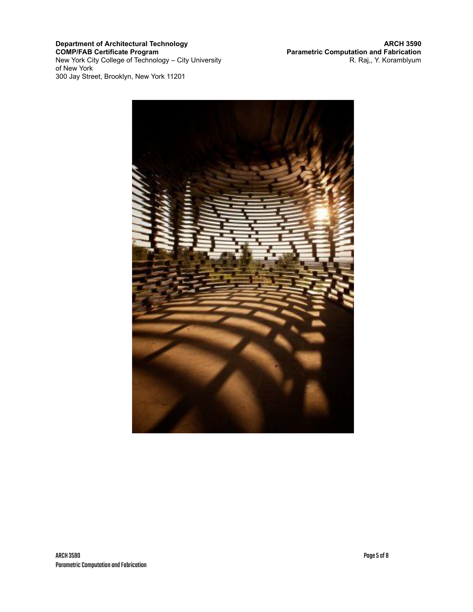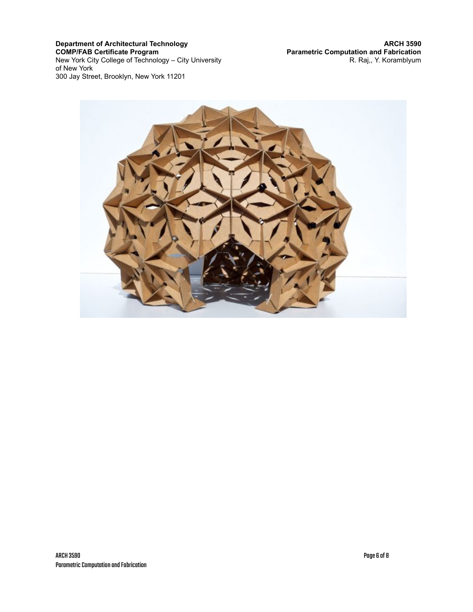#### **Department of Architectural Technology COMP/FAB Certificate Program**  New York City College of Technology – City University of New York

300 Jay Street, Brooklyn, New York 11201

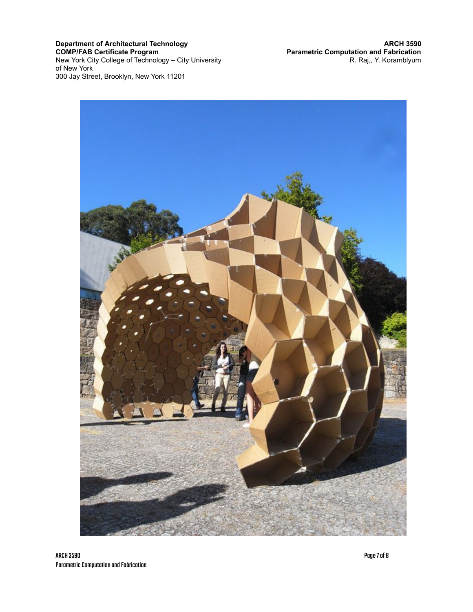